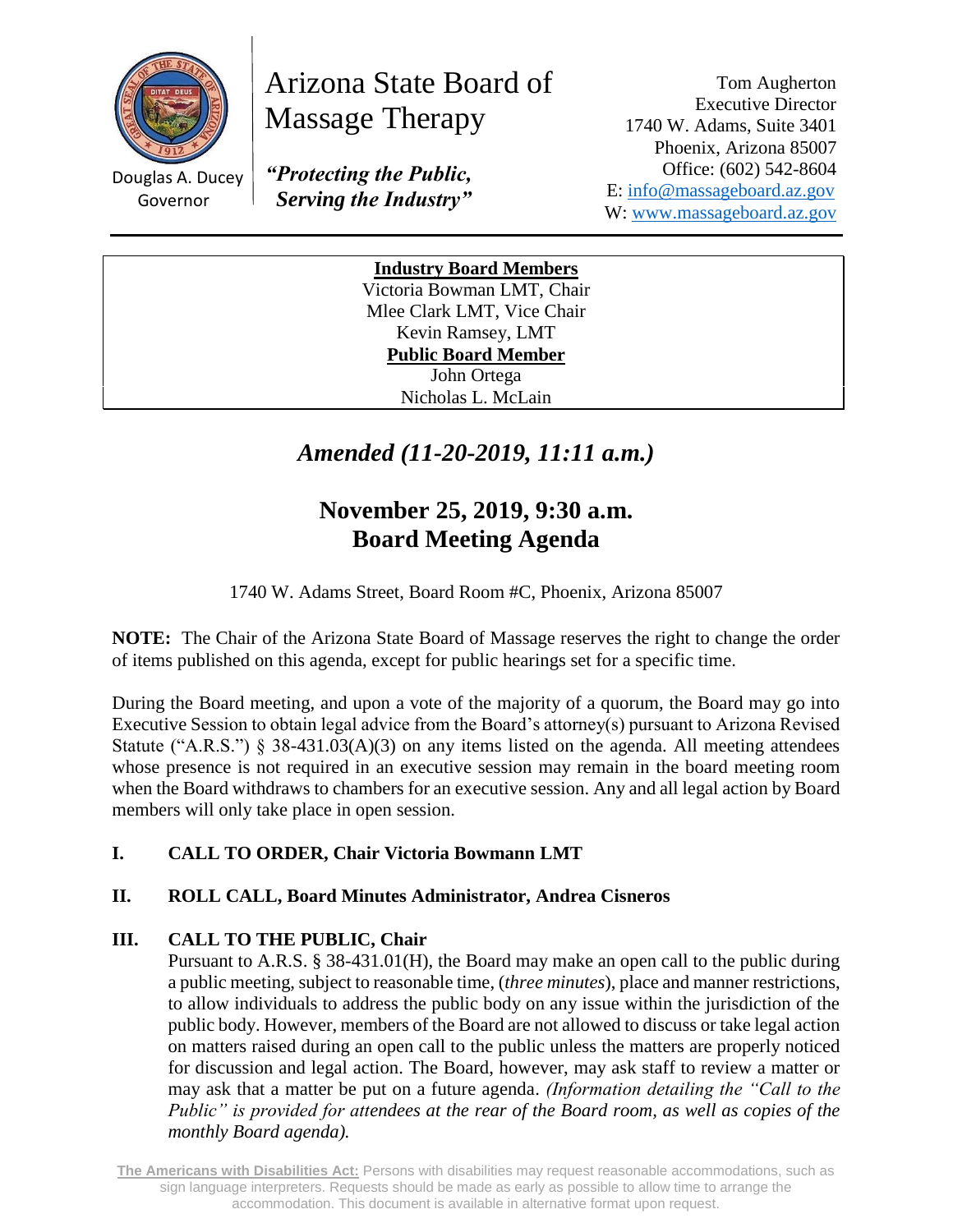

Arizona State Board of Massage Therapy

Douglas A. Ducey Governor

*"Protecting the Public, Serving the Industry"*

Tom Augherton Executive Director 1740 W. Adams, Suite 3401 Phoenix, Arizona 85007 Office: (602) 542-8604 E: [info@massageboard.az.gov](mailto:info@massageboard.az.gov) W: [www.massageboard.az.gov](http://www.massageboard.az.gov/)

**Industry Board Members** Victoria Bowman LMT, Chair Mlee Clark LMT, Vice Chair Kevin Ramsey, LMT **Public Board Member**  John Ortega Nicholas L. McLain

# *Amended (11-20-2019, 11:11 a.m.)*

# **November 25, 2019, 9:30 a.m. Board Meeting Agenda**

1740 W. Adams Street, Board Room #C, Phoenix, Arizona 85007

**NOTE:** The Chair of the Arizona State Board of Massage reserves the right to change the order of items published on this agenda, except for public hearings set for a specific time.

During the Board meeting, and upon a vote of the majority of a quorum, the Board may go into Executive Session to obtain legal advice from the Board's attorney(s) pursuant to Arizona Revised Statute ("A.R.S.") § 38-431.03(A)(3) on any items listed on the agenda. All meeting attendees whose presence is not required in an executive session may remain in the board meeting room when the Board withdraws to chambers for an executive session. Any and all legal action by Board members will only take place in open session.

# **I. CALL TO ORDER, Chair Victoria Bowmann LMT**

# **II. ROLL CALL, Board Minutes Administrator, Andrea Cisneros**

# **III. CALL TO THE PUBLIC, Chair**

Pursuant to A.R.S. § 38-431.01(H), the Board may make an open call to the public during a public meeting, subject to reasonable time, (*three minutes*), place and manner restrictions, to allow individuals to address the public body on any issue within the jurisdiction of the public body. However, members of the Board are not allowed to discuss or take legal action on matters raised during an open call to the public unless the matters are properly noticed for discussion and legal action. The Board, however, may ask staff to review a matter or may ask that a matter be put on a future agenda. *(Information detailing the "Call to the Public" is provided for attendees at the rear of the Board room, as well as copies of the monthly Board agenda).* 

**The Americans with Disabilities Act:** Persons with disabilities may request reasonable accommodations, such as sign language interpreters. Requests should be made as early as possible to allow time to arrange the accommodation. This document is available in alternative format upon request.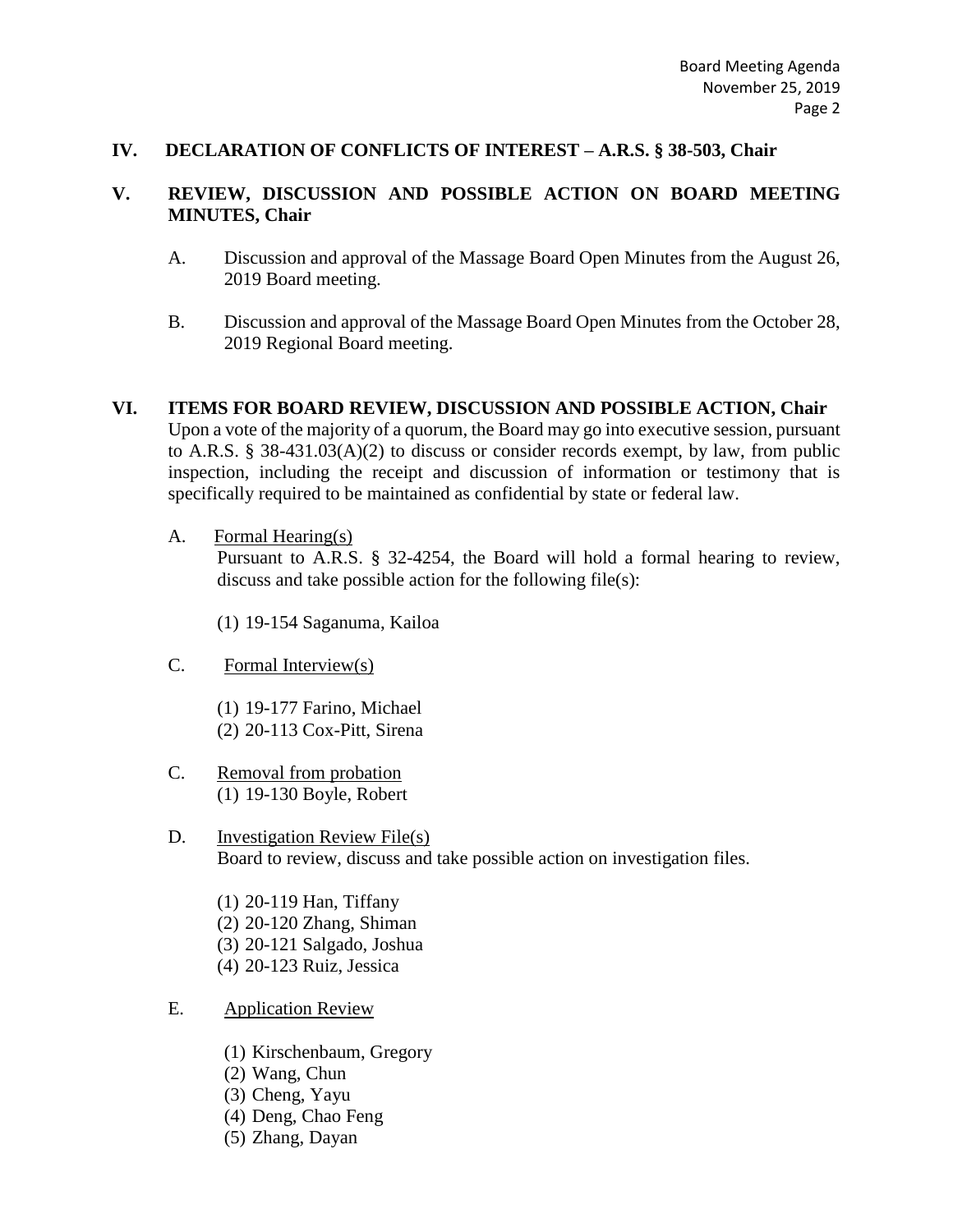### **IV. DECLARATION OF CONFLICTS OF INTEREST – A.R.S. § 38-503, Chair**

## **V. REVIEW, DISCUSSION AND POSSIBLE ACTION ON BOARD MEETING MINUTES, Chair**

- A. Discussion and approval of the Massage Board Open Minutes from the August 26, 2019 Board meeting.
- B. Discussion and approval of the Massage Board Open Minutes from the October 28, 2019 Regional Board meeting.

# **VI. ITEMS FOR BOARD REVIEW, DISCUSSION AND POSSIBLE ACTION, Chair**

Upon a vote of the majority of a quorum, the Board may go into executive session, pursuant to A.R.S. § 38-431.03(A)(2) to discuss or consider records exempt, by law, from public inspection, including the receipt and discussion of information or testimony that is specifically required to be maintained as confidential by state or federal law.

A. Formal Hearing(s)

Pursuant to A.R.S. § 32-4254, the Board will hold a formal hearing to review, discuss and take possible action for the following file(s):

(1) 19-154 Saganuma, Kailoa

- C. Formal Interview(s)
	- (1) 19-177 Farino, Michael (2) 20-113 Cox-Pitt, Sirena
- C. Removal from probation (1) 19-130 Boyle, Robert
- D. Investigation Review File(s) Board to review, discuss and take possible action on investigation files.

(1) 20-119 Han, Tiffany (2) 20-120 Zhang, Shiman (3) 20-121 Salgado, Joshua (4) 20-123 Ruiz, Jessica

- E. Application Review
	- (1) Kirschenbaum, Gregory
	- (2) Wang, Chun
	- (3) Cheng, Yayu
	- (4) Deng, Chao Feng
	- (5) Zhang, Dayan